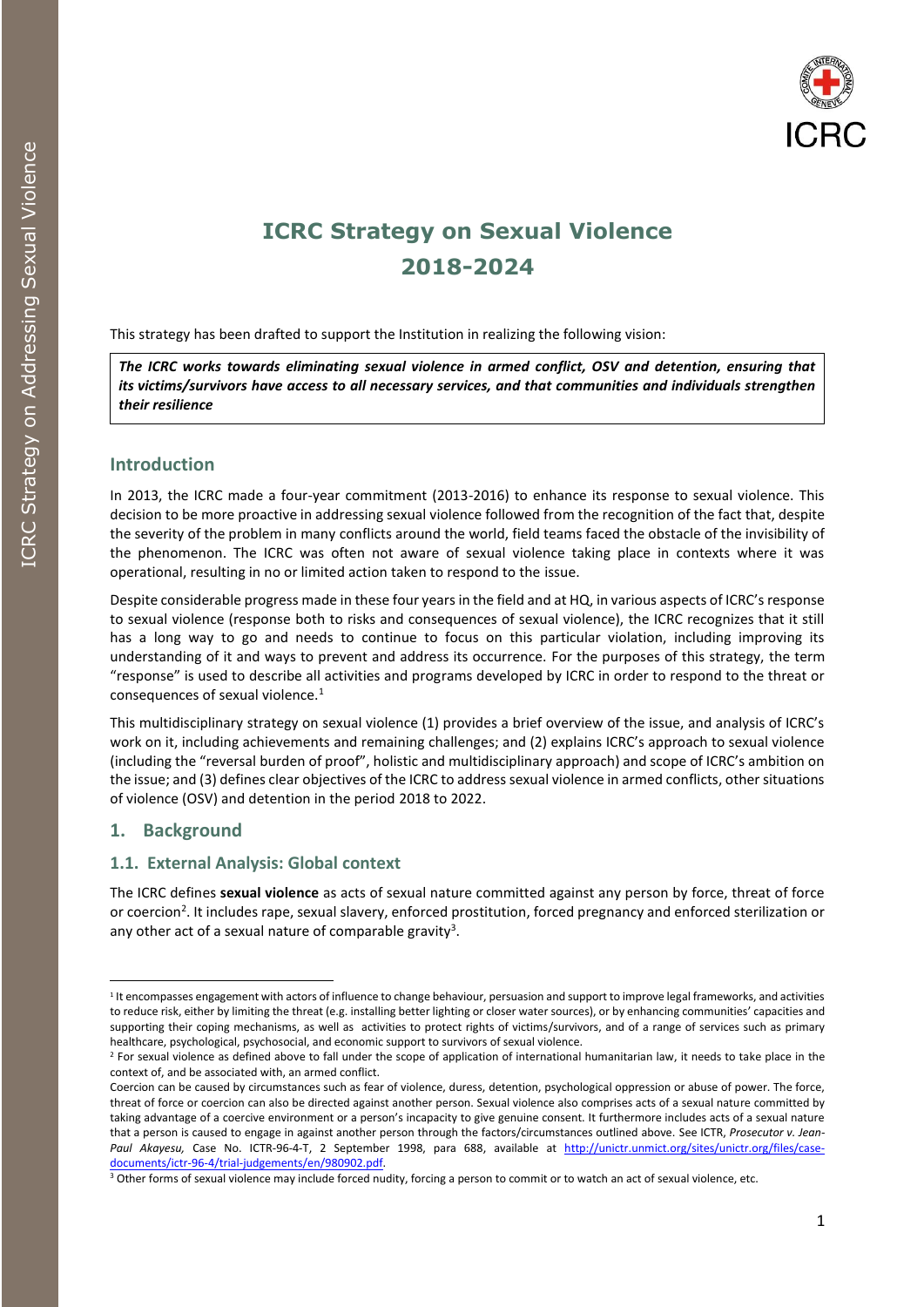

# **ICRC Strategy on Sexual Violence 2018-2024**

This strategy has been drafted to support the Institution in realizing the following vision:

*The ICRC works towards eliminating sexual violence in armed conflict, OSV and detention, ensuring that its victims/survivors have access to all necessary services, and that communities and individuals strengthen their resilience*

# **Introduction**

In 2013, the ICRC made a four-year commitment (2013-2016) to enhance its response to sexual violence. This decision to be more proactive in addressing sexual violence followed from the recognition of the fact that, despite the severity of the problem in many conflicts around the world, field teams faced the obstacle of the invisibility of the phenomenon. The ICRC was often not aware of sexual violence taking place in contexts where it was operational, resulting in no or limited action taken to respond to the issue.

Despite considerable progress made in these four years in the field and at HQ, in various aspects of ICRC's response to sexual violence (response both to risks and consequences of sexual violence), the ICRC recognizes that it still has a long way to go and needs to continue to focus on this particular violation, including improving its understanding of it and ways to prevent and address its occurrence. For the purposes of this strategy, the term "response" is used to describe all activities and programs developed by ICRC in order to respond to the threat or consequences of sexual violence.<sup>1</sup>

This multidisciplinary strategy on sexual violence (1) provides a brief overview of the issue, and analysis of ICRC's work on it, including achievements and remaining challenges; and (2) explains ICRC's approach to sexual violence (including the "reversal burden of proof", holistic and multidisciplinary approach) and scope of ICRC's ambition on the issue; and (3) defines clear objectives of the ICRC to address sexual violence in armed conflicts, other situations of violence (OSV) and detention in the period 2018 to 2022.

# **1. Background**

# **1.1. External Analysis: Global context**

The ICRC defines **sexual violence** as acts of sexual nature committed against any person by force, threat of force or coercion<sup>2</sup>. It includes rape, sexual slavery, enforced prostitution, forced pregnancy and enforced sterilization or any other act of a sexual nature of comparable gravity<sup>3</sup>.

<sup>&</sup>lt;sup>1</sup> It encompasses engagement with actors of influence to change behaviour, persuasion and support to improve legal frameworks, and activities to reduce risk, either by limiting the threat (e.g. installing better lighting or closer water sources), or by enhancing communities' capacities and supporting their coping mechanisms, as well as activities to protect rights of victims/survivors, and of a range of services such as primary healthcare, psychological, psychosocial, and economic support to survivors of sexual violence.

 $2$  For sexual violence as defined above to fall under the scope of application of international humanitarian law, it needs to take place in the context of, and be associated with, an armed conflict.

Coercion can be caused by circumstances such as fear of violence, duress, detention, psychological oppression or abuse of power. The force, threat of force or coercion can also be directed against another person. Sexual violence also comprises acts of a sexual nature committed by taking advantage of a coercive environment or a person's incapacity to give genuine consent. It furthermore includes acts of a sexual nature that a person is caused to engage in against another person through the factors/circumstances outlined above. See ICTR, *Prosecutor v. Jean*Paul Akayesu, Case No. ICTR-96-4-T, 2 September 1998, para 688, available at [http://unictr.unmict.org/sites/unictr.org/files/case](http://unictr.unmict.org/sites/unictr.org/files/case-documents/ictr-96-4/trial-judgements/en/980902.pdf)[documents/ictr-96-4/trial-judgements/en/980902.pdf.](http://unictr.unmict.org/sites/unictr.org/files/case-documents/ictr-96-4/trial-judgements/en/980902.pdf)

<sup>&</sup>lt;sup>3</sup> Other forms of sexual violence may include forced nudity, forcing a person to commit or to watch an act of sexual violence, etc.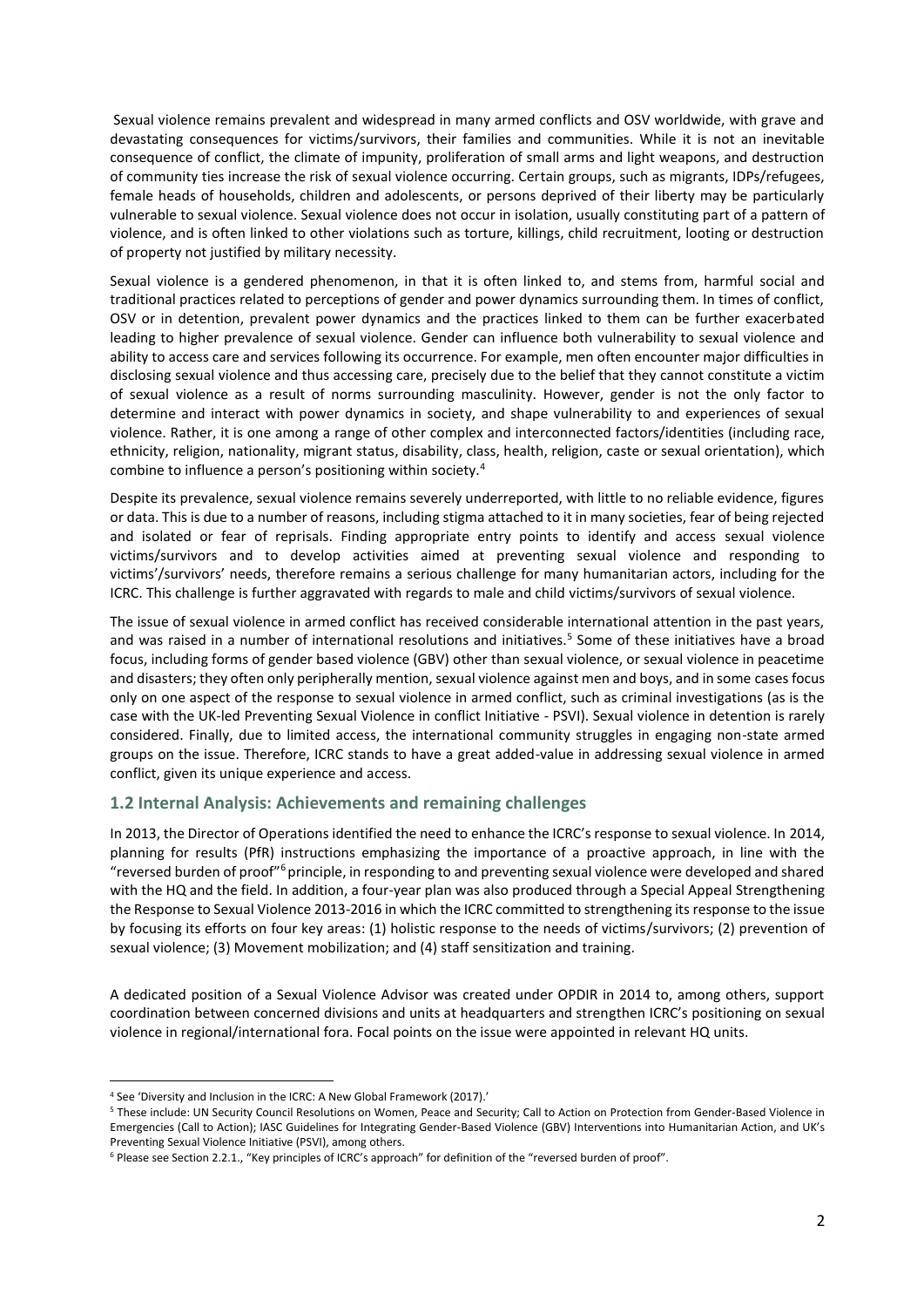Sexual violence remains prevalent and widespread in many armed conflicts and OSV worldwide, with grave and devastating consequences for victims/survivors, their families and communities. While it is not an inevitable consequence of conflict, the climate of impunity, proliferation of small arms and light weapons, and destruction of community ties increase the risk of sexual violence occurring. Certain groups, such as migrants, IDPs/refugees, female heads of households, children and adolescents, or persons deprived of their liberty may be particularly vulnerable to sexual violence. Sexual violence does not occur in isolation, usually constituting part of a pattern of violence, and is often linked to other violations such as torture, killings, child recruitment, looting or destruction of property not justified by military necessity.

Sexual violence is a gendered phenomenon, in that it is often linked to, and stems from, harmful social and traditional practices related to perceptions of gender and power dynamics surrounding them. In times of conflict, OSV or in detention, prevalent power dynamics and the practices linked to them can be further exacerbated leading to higher prevalence of sexual violence. Gender can influence both vulnerability to sexual violence and ability to access care and services following its occurrence. For example, men often encounter major difficulties in disclosing sexual violence and thus accessing care, precisely due to the belief that they cannot constitute a victim of sexual violence as a result of norms surrounding masculinity. However, gender is not the only factor to determine and interact with power dynamics in society, and shape vulnerability to and experiences of sexual violence. Rather, it is one among a range of other complex and interconnected factors/identities (including race, ethnicity, religion, nationality, migrant status, disability, class, health, religion, caste or sexual orientation), which combine to influence a person's positioning within society.<sup>4</sup>

Despite its prevalence, sexual violence remains severely underreported, with little to no reliable evidence, figures or data. This is due to a number of reasons, including stigma attached to it in many societies, fear of being rejected and isolated or fear of reprisals. Finding appropriate entry points to identify and access sexual violence victims/survivors and to develop activities aimed at preventing sexual violence and responding to victims'/survivors' needs, therefore remains a serious challenge for many humanitarian actors, including for the ICRC. This challenge is further aggravated with regards to male and child victims/survivors of sexual violence.

The issue of sexual violence in armed conflict has received considerable international attention in the past years, and was raised in a number of international resolutions and initiatives.<sup>5</sup> Some of these initiatives have a broad focus, including forms of gender based violence (GBV) other than sexual violence, or sexual violence in peacetime and disasters; they often only peripherally mention, sexual violence against men and boys, and in some cases focus only on one aspect of the response to sexual violence in armed conflict, such as criminal investigations (as is the case with the UK-led Preventing Sexual Violence in conflict Initiative - PSVI). Sexual violence in detention is rarely considered. Finally, due to limited access, the international community struggles in engaging non-state armed groups on the issue. Therefore, ICRC stands to have a great added-value in addressing sexual violence in armed conflict, given its unique experience and access.

## **1.2 Internal Analysis: Achievements and remaining challenges**

In 2013, the Director of Operations identified the need to enhance the ICRC's response to sexual violence. In 2014, planning for results (PfR) instructions emphasizing the importance of a proactive approach, in line with the "reversed burden of proof"<sup>6</sup> principle, in responding to and preventing sexual violence were developed and shared with the HQ and the field. In addition, a four-year plan was also produced through a Special Appeal Strengthening the Response to Sexual Violence 2013-2016 in which the ICRC committed to strengthening its response to the issue by focusing its efforts on four key areas: (1) holistic response to the needs of victims/survivors; (2) prevention of sexual violence; (3) Movement mobilization; and (4) staff sensitization and training.

A dedicated position of a Sexual Violence Advisor was created under OPDIR in 2014 to, among others, support coordination between concerned divisions and units at headquarters and strengthen ICRC's positioning on sexual violence in regional/international fora. Focal points on the issue were appointed in relevant HQ units.

<sup>4</sup> See 'Diversity and Inclusion in the ICRC: A New Global Framework (2017).'

<sup>5</sup> These include: UN Security Council Resolutions on Women, Peace and Security; Call to Action on Protection from Gender-Based Violence in Emergencies (Call to Action); IASC Guidelines for Integrating Gender-Based Violence (GBV) Interventions into Humanitarian Action, and UK's Preventing Sexual Violence Initiative (PSVI), among others.

<sup>6</sup> Please see Section 2.2.1., "Key principles of ICRC's approach" for definition of the "reversed burden of proof".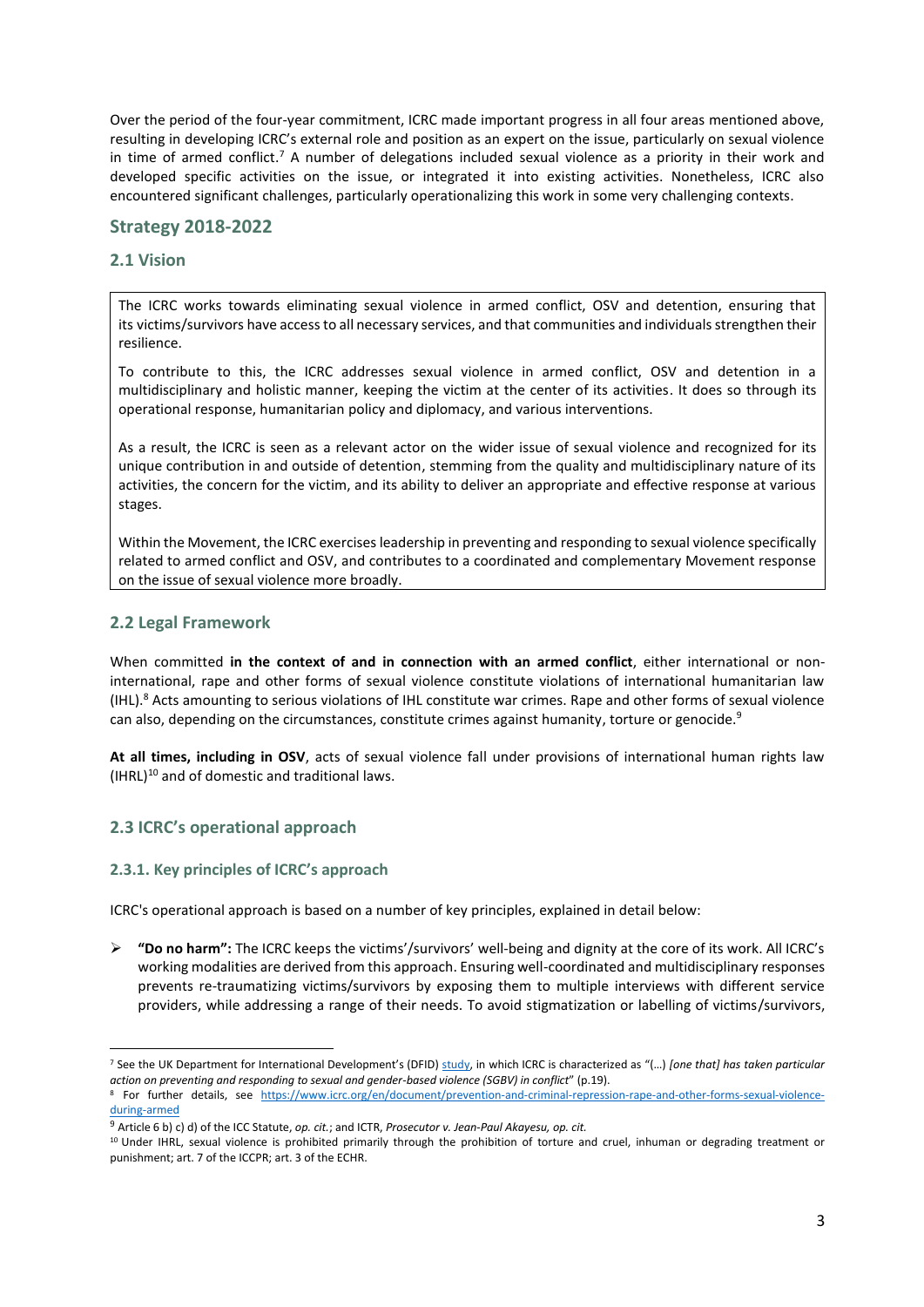Over the period of the four-year commitment, ICRC made important progress in all four areas mentioned above, resulting in developing ICRC's external role and position as an expert on the issue, particularly on sexual violence in time of armed conflict.<sup>7</sup> A number of delegations included sexual violence as a priority in their work and developed specific activities on the issue, or integrated it into existing activities. Nonetheless, ICRC also encountered significant challenges, particularly operationalizing this work in some very challenging contexts.

## **Strategy 2018-2022**

## **2.1 Vision**

The ICRC works towards eliminating sexual violence in armed conflict, OSV and detention, ensuring that its victims/survivors have access to all necessary services, and that communities and individuals strengthen their resilience.

To contribute to this, the ICRC addresses sexual violence in armed conflict, OSV and detention in a multidisciplinary and holistic manner, keeping the victim at the center of its activities. It does so through its operational response, humanitarian policy and diplomacy, and various interventions.

As a result, the ICRC is seen as a relevant actor on the wider issue of sexual violence and recognized for its unique contribution in and outside of detention, stemming from the quality and multidisciplinary nature of its activities, the concern for the victim, and its ability to deliver an appropriate and effective response at various stages.

Within the Movement, the ICRC exercises leadership in preventing and responding to sexual violence specifically related to armed conflict and OSV, and contributes to a coordinated and complementary Movement response on the issue of sexual violence more broadly.

## **2.2 Legal Framework**

When committed **in the context of and in connection with an armed conflict**, either international or noninternational, rape and other forms of sexual violence constitute violations of international humanitarian law (IHL).<sup>8</sup> Acts amounting to serious violations of IHL constitute war crimes. Rape and other forms of sexual violence can also, depending on the circumstances, constitute crimes against humanity, torture or genocide.<sup>9</sup>

**At all times, including in OSV**, acts of sexual violence fall under provisions of international human rights law  $(HRL)^{10}$  and of domestic and traditional laws.

# **2.3 ICRC's operational approach**

## **2.3.1. Key principles of ICRC's approach**

ICRC's operational approach is based on a number of key principles, explained in detail below:

➢ **"Do no harm":** The ICRC keeps the victims'/survivors' well-being and dignity at the core of its work. All ICRC's working modalities are derived from this approach. Ensuring well-coordinated and multidisciplinary responses prevents re-traumatizing victims/survivors by exposing them to multiple interviews with different service providers, while addressing a range of their needs. To avoid stigmatization or labelling of victims/survivors,

<sup>7</sup> See the UK Department for International Development's (DFID) [study](https://www.gov.uk/government/publications/raising-the-standard-the-multilateral-development-review-2016), in which ICRC is characterized as "(…) *[one that] has taken particular action on preventing and responding to sexual and gender-based violence (SGBV) in conflict*" (p.19).

<sup>&</sup>lt;sup>8</sup> For further details, see [https://www.icrc.org/en/document/prevention-and-criminal-repression-rape-and-other-forms-sexual-violence](https://www.icrc.org/en/document/prevention-and-criminal-repression-rape-and-other-forms-sexual-violence-during-armed)[during-armed](https://www.icrc.org/en/document/prevention-and-criminal-repression-rape-and-other-forms-sexual-violence-during-armed)

<sup>9</sup> Article 6 b) c) d) of the ICC Statute, *op. cit.*; and ICTR, *Prosecutor v. Jean-Paul Akayesu, op. cit.*

<sup>10</sup> Under IHRL, sexual violence is prohibited primarily through the prohibition of torture and cruel, inhuman or degrading treatment or punishment; art. 7 of the ICCPR; art. 3 of the ECHR.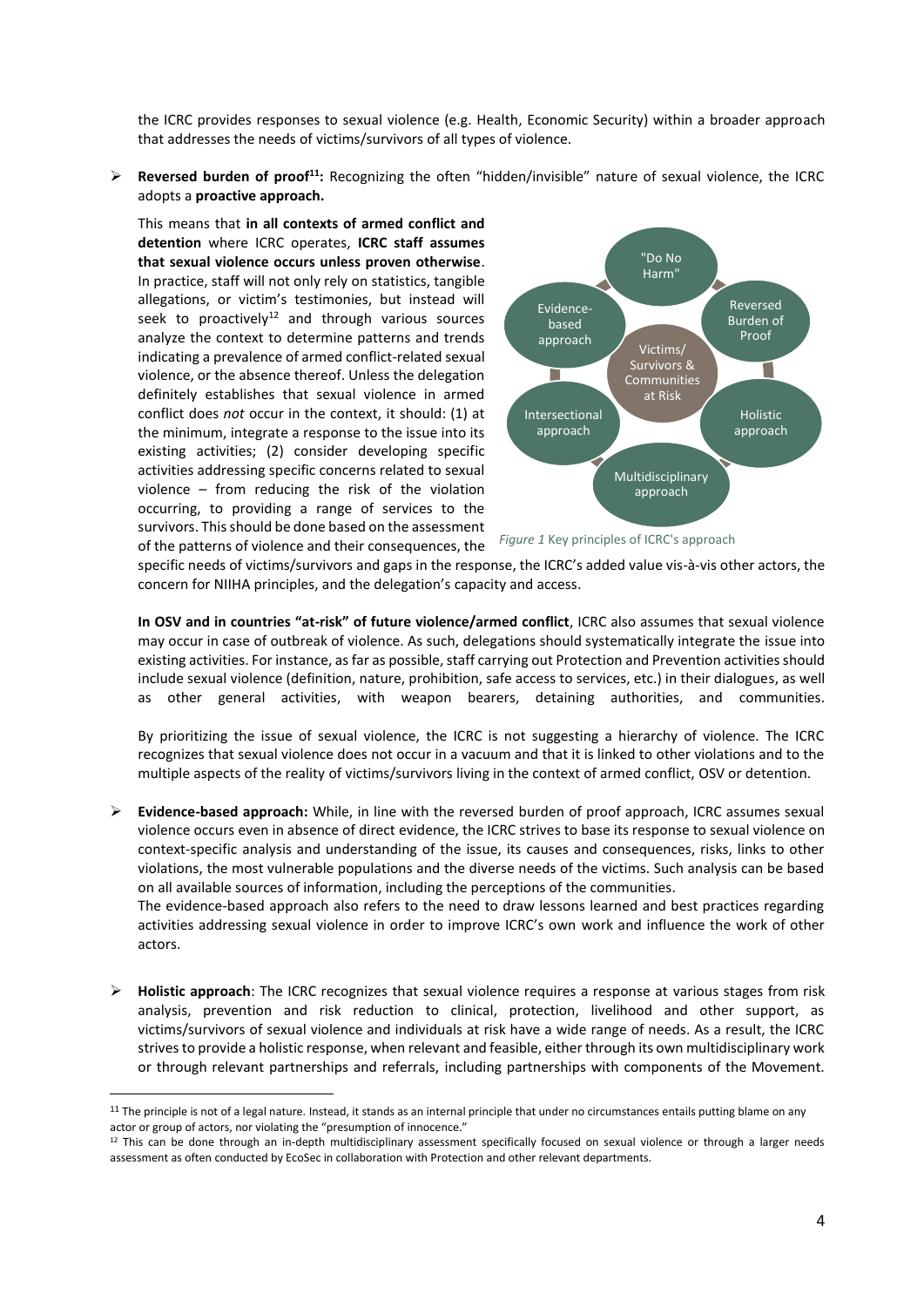the ICRC provides responses to sexual violence (e.g. Health, Economic Security) within a broader approach that addresses the needs of victims/survivors of all types of violence.

➢ **Reversed burden of proof<sup>11</sup>:** Recognizing the often "hidden/invisible" nature of sexual violence, the ICRC adopts a **proactive approach.**

This means that **in all contexts of armed conflict and detention** where ICRC operates, **ICRC staff assumes that sexual violence occurs unless proven otherwise**. In practice, staff will not only rely on statistics, tangible allegations, or victim's testimonies, but instead will seek to proactively<sup>12</sup> and through various sources analyze the context to determine patterns and trends indicating a prevalence of armed conflict-related sexual violence, or the absence thereof. Unless the delegation definitely establishes that sexual violence in armed conflict does *not* occur in the context, it should: (1) at the minimum, integrate a response to the issue into its existing activities; (2) consider developing specific activities addressing specific concerns related to sexual violence – from reducing the risk of the violation occurring, to providing a range of services to the survivors. This should be done based on the assessment of the patterns of violence and their consequences, the



*Figure 1* Key principles of ICRC's approach

specific needs of victims/survivors and gaps in the response, the ICRC's added value vis-à-vis other actors, the concern for NIIHA principles, and the delegation's capacity and access.

**In OSV and in countries "at-risk" of future violence/armed conflict**, ICRC also assumes that sexual violence may occur in case of outbreak of violence. As such, delegations should systematically integrate the issue into existing activities. For instance, as far as possible, staff carrying out Protection and Prevention activities should include sexual violence (definition, nature, prohibition, safe access to services, etc.) in their dialogues, as well as other general activities, with weapon bearers, detaining authorities, and communities.

By prioritizing the issue of sexual violence, the ICRC is not suggesting a hierarchy of violence. The ICRC recognizes that sexual violence does not occur in a vacuum and that it is linked to other violations and to the multiple aspects of the reality of victims/survivors living in the context of armed conflict, OSV or detention.

➢ **Evidence-based approach:** While, in line with the reversed burden of proof approach, ICRC assumes sexual violence occurs even in absence of direct evidence, the ICRC strives to base its response to sexual violence on context-specific analysis and understanding of the issue, its causes and consequences, risks, links to other violations, the most vulnerable populations and the diverse needs of the victims. Such analysis can be based on all available sources of information, including the perceptions of the communities. The evidence-based approach also refers to the need to draw lessons learned and best practices regarding

activities addressing sexual violence in order to improve ICRC's own work and influence the work of other actors.

➢ **Holistic approach**: The ICRC recognizes that sexual violence requires a response at various stages from risk analysis, prevention and risk reduction to clinical, protection, livelihood and other support, as victims/survivors of sexual violence and individuals at risk have a wide range of needs. As a result, the ICRC strives to provide a holistic response, when relevant and feasible, either through its own multidisciplinary work or through relevant partnerships and referrals, including partnerships with components of the Movement.

<sup>&</sup>lt;sup>11</sup> The principle is not of a legal nature. Instead, it stands as an internal principle that under no circumstances entails putting blame on any actor or group of actors, nor violating the "presumption of innocence."

<sup>&</sup>lt;sup>12</sup> This can be done through an in-depth multidisciplinary assessment specifically focused on sexual violence or through a larger needs assessment as often conducted by EcoSec in collaboration with Protection and other relevant departments.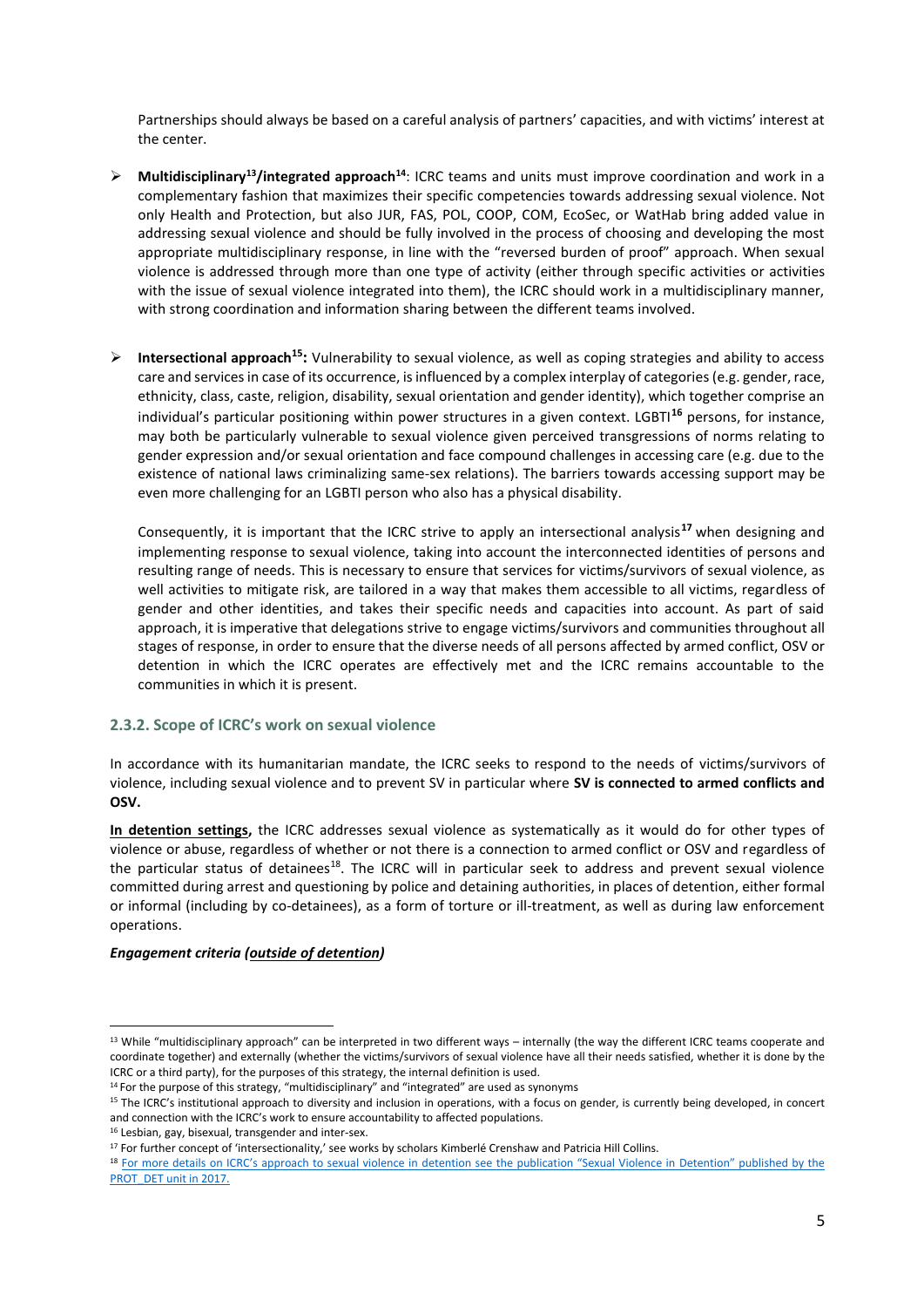Partnerships should always be based on a careful analysis of partners' capacities, and with victims' interest at the center.

- ➢ **Multidisciplinary<sup>13</sup>/integrated approach<sup>14</sup>**: ICRC teams and units must improve coordination and work in a complementary fashion that maximizes their specific competencies towards addressing sexual violence. Not only Health and Protection, but also JUR, FAS, POL, COOP, COM, EcoSec, or WatHab bring added value in addressing sexual violence and should be fully involved in the process of choosing and developing the most appropriate multidisciplinary response, in line with the "reversed burden of proof" approach. When sexual violence is addressed through more than one type of activity (either through specific activities or activities with the issue of sexual violence integrated into them), the ICRC should work in a multidisciplinary manner, with strong coordination and information sharing between the different teams involved.
- ➢ **Intersectional approach<sup>15</sup>:** Vulnerability to sexual violence, as well as coping strategies and ability to access care and services in case of its occurrence, is influenced by a complex interplay of categories (e.g. gender, race, ethnicity, class, caste, religion, disability, sexual orientation and gender identity), which together comprise an individual's particular positioning within power structures in a given context. LGBTI**<sup>16</sup>** persons, for instance, may both be particularly vulnerable to sexual violence given perceived transgressions of norms relating to gender expression and/or sexual orientation and face compound challenges in accessing care (e.g. due to the existence of national laws criminalizing same-sex relations). The barriers towards accessing support may be even more challenging for an LGBTI person who also has a physical disability.

Consequently, it is important that the ICRC strive to apply an intersectional analysis**<sup>17</sup>** when designing and implementing response to sexual violence, taking into account the interconnected identities of persons and resulting range of needs. This is necessary to ensure that services for victims/survivors of sexual violence, as well activities to mitigate risk, are tailored in a way that makes them accessible to all victims, regardless of gender and other identities, and takes their specific needs and capacities into account. As part of said approach, it is imperative that delegations strive to engage victims/survivors and communities throughout all stages of response, in order to ensure that the diverse needs of all persons affected by armed conflict, OSV or detention in which the ICRC operates are effectively met and the ICRC remains accountable to the communities in which it is present.

## **2.3.2. Scope of ICRC's work on sexual violence**

In accordance with its humanitarian mandate, the ICRC seeks to respond to the needs of victims/survivors of violence, including sexual violence and to prevent SV in particular where **SV is connected to armed conflicts and OSV.**

**In detention settings,** the ICRC addresses sexual violence as systematically as it would do for other types of violence or abuse, regardless of whether or not there is a connection to armed conflict or OSV and regardless of the particular status of detainees<sup>18</sup>. The ICRC will in particular seek to address and prevent sexual violence committed during arrest and questioning by police and detaining authorities, in places of detention, either formal or informal (including by co-detainees), as a form of torture or ill-treatment, as well as during law enforcement operations.

## *Engagement criteria (outside of detention)*

<sup>&</sup>lt;sup>13</sup> While "multidisciplinary approach" can be interpreted in two different ways – internally (the way the different ICRC teams cooperate and coordinate together) and externally (whether the victims/survivors of sexual violence have all their needs satisfied, whether it is done by the ICRC or a third party), for the purposes of this strategy, the internal definition is used.

 $14$  For the purpose of this strategy, "multidisciplinary" and "integrated" are used as synonyms

<sup>&</sup>lt;sup>15</sup> The ICRC's institutional approach to diversity and inclusion in operations, with a focus on gender, is currently being developed, in concert and connection with the ICRC's work to ensure accountability to affected populations.

<sup>16</sup> Lesbian, gay, bisexual, transgender and inter-sex.

<sup>&</sup>lt;sup>17</sup> For further concept of 'intersectionality,' see works by scholars Kimberlé Crenshaw and Patricia Hill Collins.

<sup>&</sup>lt;sup>18</sup> For more details on ICRC's approach to sexual violence in detention see the publication "Sexual Violence in Detention" published by the [PROT\\_DET unit in 2017.](https://www.icrc.org/en/publication/4293-sexual-violence-detention)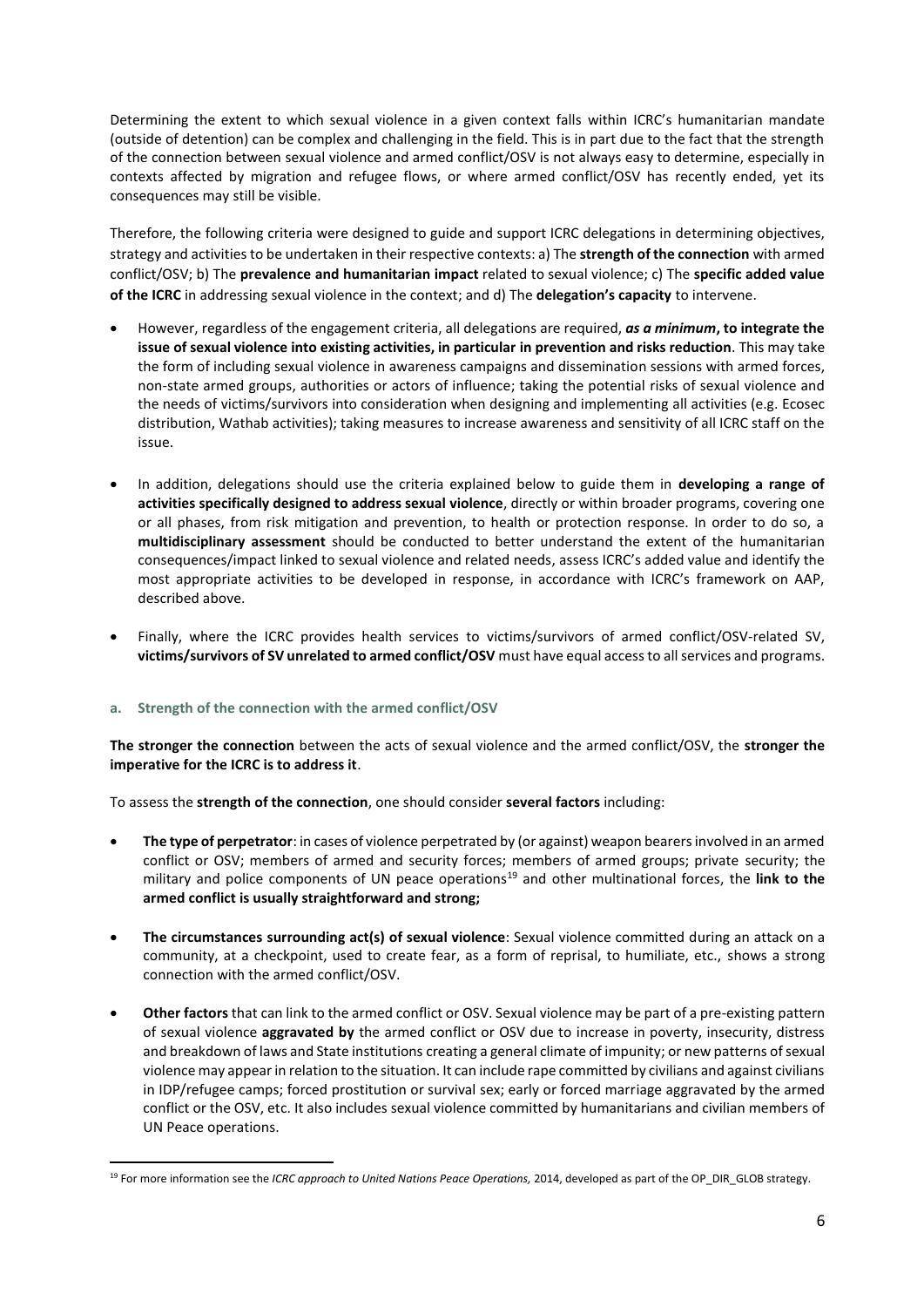Determining the extent to which sexual violence in a given context falls within ICRC's humanitarian mandate (outside of detention) can be complex and challenging in the field. This is in part due to the fact that the strength of the connection between sexual violence and armed conflict/OSV is not always easy to determine, especially in contexts affected by migration and refugee flows, or where armed conflict/OSV has recently ended, yet its consequences may still be visible.

Therefore, the following criteria were designed to guide and support ICRC delegations in determining objectives, strategy and activities to be undertaken in their respective contexts: a) The **strength of the connection** with armed conflict/OSV; b) The **prevalence and humanitarian impact** related to sexual violence; c) The **specific added value of the ICRC** in addressing sexual violence in the context; and d) The **delegation's capacity** to intervene.

- However, regardless of the engagement criteria, all delegations are required, *as a minimum***, to integrate the issue of sexual violence into existing activities, in particular in prevention and risks reduction**. This may take the form of including sexual violence in awareness campaigns and dissemination sessions with armed forces, non-state armed groups, authorities or actors of influence; taking the potential risks of sexual violence and the needs of victims/survivors into consideration when designing and implementing all activities (e.g. Ecosec distribution, Wathab activities); taking measures to increase awareness and sensitivity of all ICRC staff on the issue.
- In addition, delegations should use the criteria explained below to guide them in **developing a range of activities specifically designed to address sexual violence**, directly or within broader programs, covering one or all phases, from risk mitigation and prevention, to health or protection response. In order to do so, a **multidisciplinary assessment** should be conducted to better understand the extent of the humanitarian consequences/impact linked to sexual violence and related needs, assess ICRC's added value and identify the most appropriate activities to be developed in response, in accordance with ICRC's framework on AAP, described above.
- Finally, where the ICRC provides health services to victims/survivors of armed conflict/OSV-related SV, **victims/survivors of SV unrelated to armed conflict/OSV** must have equal access to all services and programs.

## **a. Strength of the connection with the armed conflict/OSV**

**The stronger the connection** between the acts of sexual violence and the armed conflict/OSV, the **stronger the imperative for the ICRC is to address it**.

To assess the **strength of the connection**, one should consider **several factors** including:

- **The type of perpetrator**: in cases of violence perpetrated by (or against) weapon bearers involved in an armed conflict or OSV; members of armed and security forces; members of armed groups; private security; the military and police components of UN peace operations<sup>19</sup> and other multinational forces, the link to the **armed conflict is usually straightforward and strong;**
- **The circumstances surrounding act(s) of sexual violence**: Sexual violence committed during an attack on a community, at a checkpoint, used to create fear, as a form of reprisal, to humiliate, etc., shows a strong connection with the armed conflict/OSV.
- **Other factors** that can link to the armed conflict or OSV. Sexual violence may be part of a pre-existing pattern of sexual violence **aggravated by** the armed conflict or OSV due to increase in poverty, insecurity, distress and breakdown of laws and State institutions creating a general climate of impunity; or new patterns of sexual violence may appear in relation to the situation. It can include rape committed by civilians and against civilians in IDP/refugee camps; forced prostitution or survival sex; early or forced marriage aggravated by the armed conflict or the OSV, etc. It also includes sexual violence committed by humanitarians and civilian members of UN Peace operations.

<sup>&</sup>lt;sup>19</sup> For more information see the *ICRC approach to United Nations Peace Operations, 2014*, developed as part of the OP\_DIR\_GLOB strategy.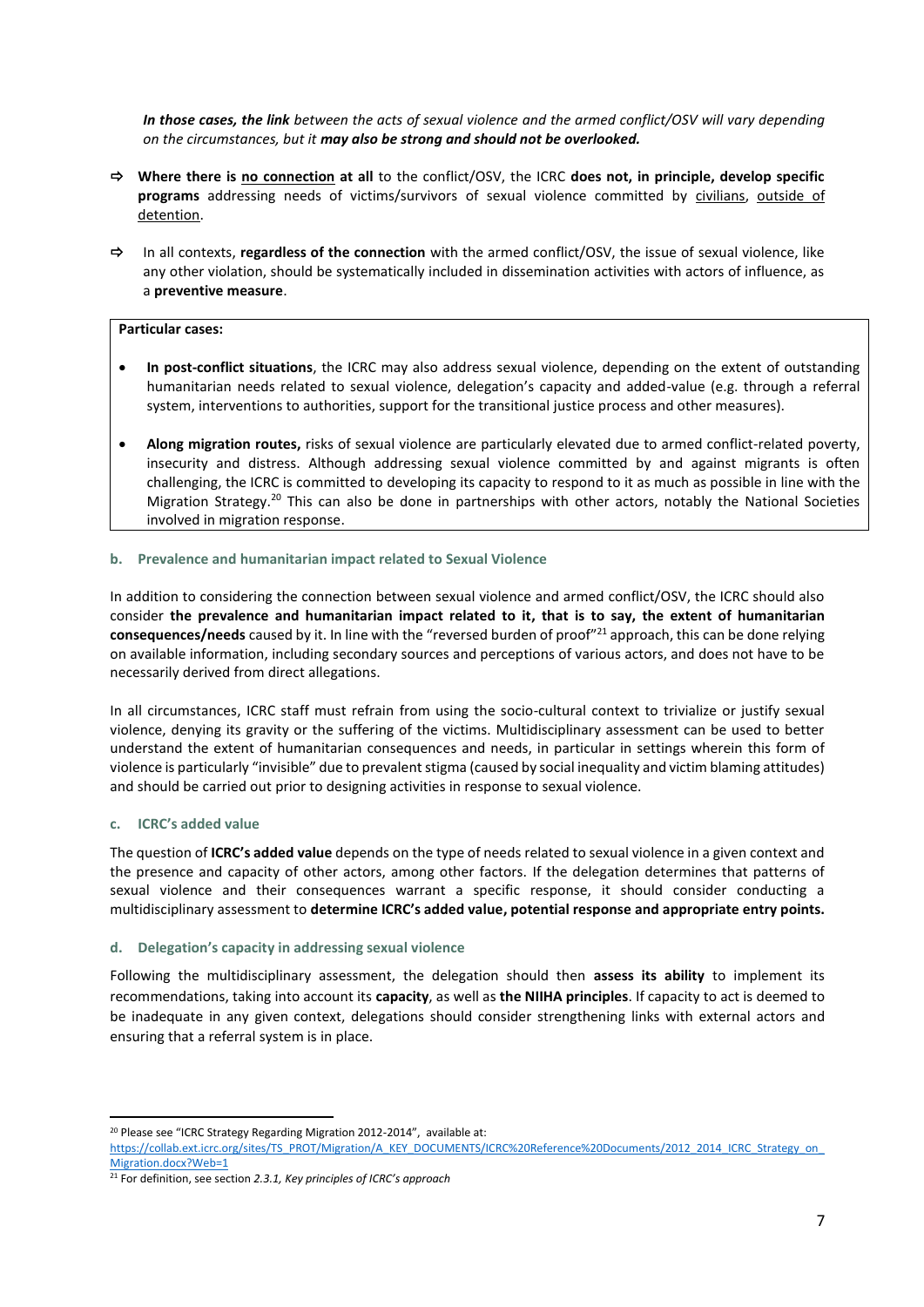*In those cases, the link between the acts of sexual violence and the armed conflict/OSV will vary depending on the circumstances, but it may also be strong and should not be overlooked.* 

- **Where there is no connection at all** to the conflict/OSV, the ICRC **does not, in principle, develop specific programs** addressing needs of victims/survivors of sexual violence committed by civilians, outside of detention.
- In all contexts, **regardless of the connection** with the armed conflict/OSV, the issue of sexual violence, like any other violation, should be systematically included in dissemination activities with actors of influence, as a **preventive measure**.

#### **Particular cases:**

- **In post-conflict situations**, the ICRC may also address sexual violence, depending on the extent of outstanding humanitarian needs related to sexual violence, delegation's capacity and added-value (e.g. through a referral system, interventions to authorities, support for the transitional justice process and other measures).
- **Along migration routes,** risks of sexual violence are particularly elevated due to armed conflict-related poverty, insecurity and distress. Although addressing sexual violence committed by and against migrants is often challenging, the ICRC is committed to developing its capacity to respond to it as much as possible in line with the Migration Strategy.<sup>20</sup> This can also be done in partnerships with other actors, notably the National Societies involved in migration response.

#### **b. Prevalence and humanitarian impact related to Sexual Violence**

In addition to considering the connection between sexual violence and armed conflict/OSV, the ICRC should also consider **the prevalence and humanitarian impact related to it, that is to say, the extent of humanitarian consequences/needs** caused by it. In line with the "reversed burden of proof"<sup>21</sup> approach, this can be done relying on available information, including secondary sources and perceptions of various actors, and does not have to be necessarily derived from direct allegations.

In all circumstances, ICRC staff must refrain from using the socio-cultural context to trivialize or justify sexual violence, denying its gravity or the suffering of the victims. Multidisciplinary assessment can be used to better understand the extent of humanitarian consequences and needs, in particular in settings wherein this form of violence is particularly "invisible" due to prevalent stigma (caused by social inequality and victim blaming attitudes) and should be carried out prior to designing activities in response to sexual violence.

## **c. ICRC's added value**

The question of **ICRC's added value** depends on the type of needs related to sexual violence in a given context and the presence and capacity of other actors, among other factors. If the delegation determines that patterns of sexual violence and their consequences warrant a specific response, it should consider conducting a multidisciplinary assessment to **determine ICRC's added value, potential response and appropriate entry points.**

## **d. Delegation's capacity in addressing sexual violence**

Following the multidisciplinary assessment, the delegation should then **assess its ability** to implement its recommendations, taking into account its **capacity**, as well as **the NIIHA principles**. If capacity to act is deemed to be inadequate in any given context, delegations should consider strengthening links with external actors and ensuring that a referral system is in place.

<sup>&</sup>lt;sup>20</sup> Please see "ICRC Strategy Regarding Migration 2012-2014", available at:

[https://collab.ext.icrc.org/sites/TS\\_PROT/Migration/A\\_KEY\\_DOCUMENTS/ICRC%20Reference%20Documents/2012\\_2014\\_ICRC\\_Strategy\\_on\\_](https://collab.ext.icrc.org/sites/TS_PROT/Migration/A_KEY_DOCUMENTS/ICRC%20Reference%20Documents/2012_2014_ICRC_Strategy_on_Migration.docx?Web=1) [Migration.docx?Web=1](https://collab.ext.icrc.org/sites/TS_PROT/Migration/A_KEY_DOCUMENTS/ICRC%20Reference%20Documents/2012_2014_ICRC_Strategy_on_Migration.docx?Web=1)

<sup>21</sup> For definition, see section *2.3.1, Key principles of ICRC's approach*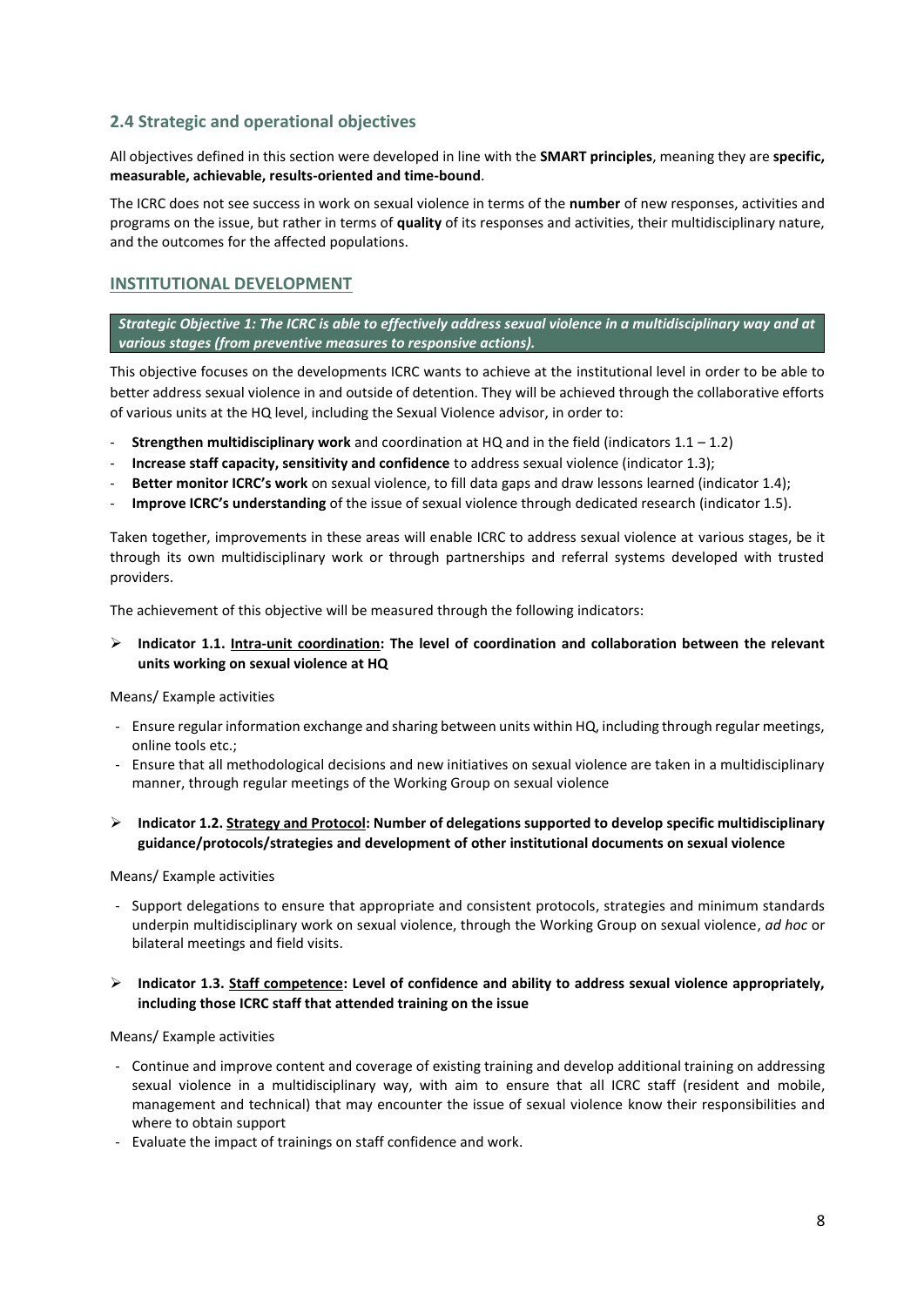# **2.4 Strategic and operational objectives**

All objectives defined in this section were developed in line with the **SMART principles**, meaning they are **specific, measurable, achievable, results-oriented and time-bound**.

The ICRC does not see success in work on sexual violence in terms of the **number** of new responses, activities and programs on the issue, but rather in terms of **quality** of its responses and activities, their multidisciplinary nature, and the outcomes for the affected populations.

## **INSTITUTIONAL DEVELOPMENT**

*Strategic Objective 1: The ICRC is able to effectively address sexual violence in a multidisciplinary way and at various stages (from preventive measures to responsive actions).*

This objective focuses on the developments ICRC wants to achieve at the institutional level in order to be able to better address sexual violence in and outside of detention. They will be achieved through the collaborative efforts of various units at the HQ level, including the Sexual Violence advisor, in order to:

- **Strengthen multidisciplinary work** and coordination at HQ and in the field (indicators 1.1 1.2)
- **Increase staff capacity, sensitivity and confidence** to address sexual violence (indicator 1.3);
- **Better monitor ICRC's work** on sexual violence, to fill data gaps and draw lessons learned (indicator 1.4);
- **Improve ICRC's understanding** of the issue of sexual violence through dedicated research (indicator 1.5).

Taken together, improvements in these areas will enable ICRC to address sexual violence at various stages, be it through its own multidisciplinary work or through partnerships and referral systems developed with trusted providers.

The achievement of this objective will be measured through the following indicators:

## ➢ **Indicator 1.1. Intra-unit coordination: The level of coordination and collaboration between the relevant units working on sexual violence at HQ**

Means/ Example activities

- Ensure regular information exchange and sharing between units within HQ, including through regular meetings, online tools etc.;
- Ensure that all methodological decisions and new initiatives on sexual violence are taken in a multidisciplinary manner, through regular meetings of the Working Group on sexual violence
- ➢ **Indicator 1.2. Strategy and Protocol: Number of delegations supported to develop specific multidisciplinary guidance/protocols/strategies and development of other institutional documents on sexual violence**

Means/ Example activities

- Support delegations to ensure that appropriate and consistent protocols, strategies and minimum standards underpin multidisciplinary work on sexual violence, through the Working Group on sexual violence, *ad hoc* or bilateral meetings and field visits.

## ➢ **Indicator 1.3. Staff competence: Level of confidence and ability to address sexual violence appropriately, including those ICRC staff that attended training on the issue**

Means/ Example activities

- Continue and improve content and coverage of existing training and develop additional training on addressing sexual violence in a multidisciplinary way, with aim to ensure that all ICRC staff (resident and mobile, management and technical) that may encounter the issue of sexual violence know their responsibilities and where to obtain support
- Evaluate the impact of trainings on staff confidence and work.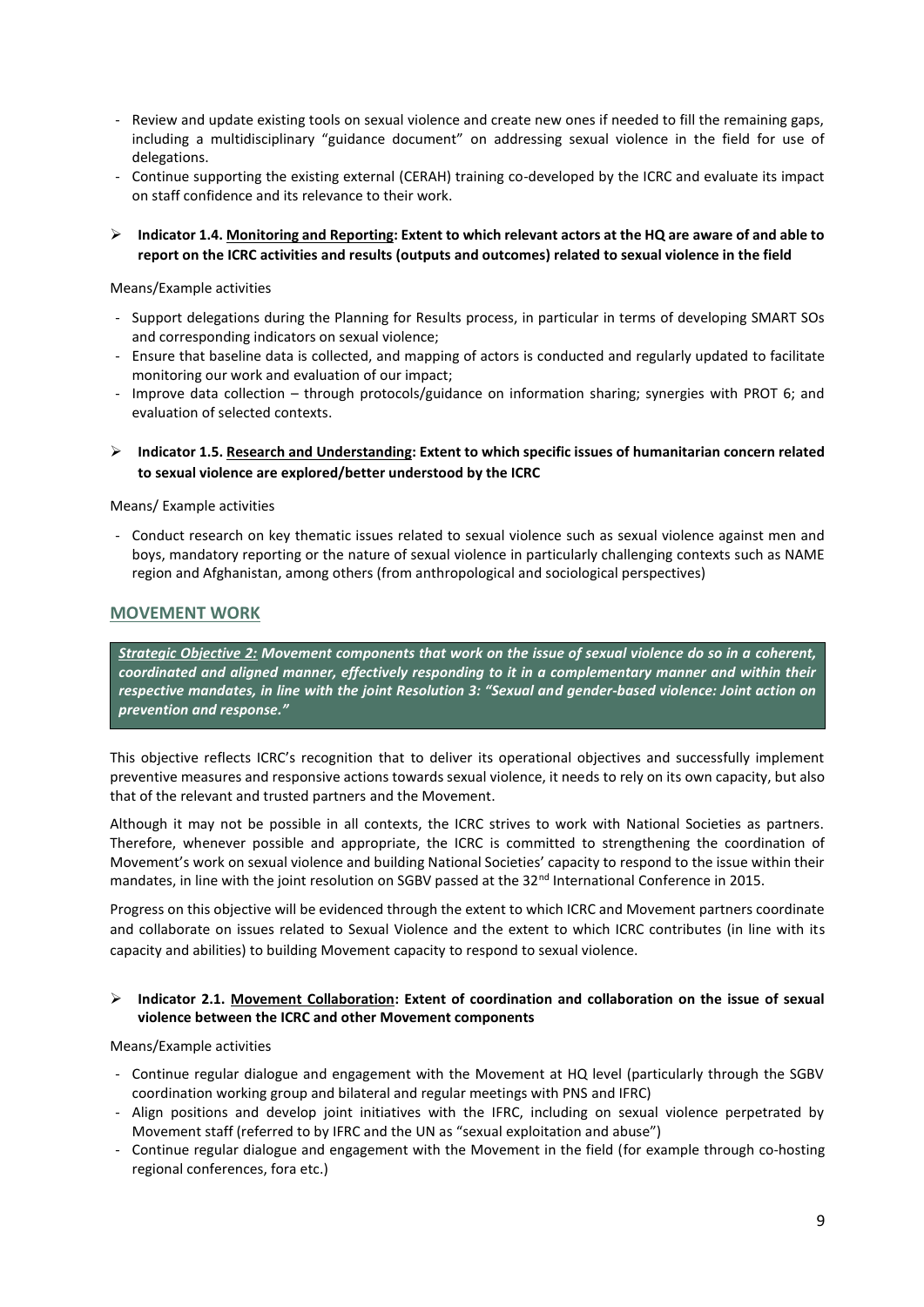- Review and update existing tools on sexual violence and create new ones if needed to fill the remaining gaps, including a multidisciplinary "guidance document" on addressing sexual violence in the field for use of delegations.
- Continue supporting the existing external (CERAH) training co-developed by the ICRC and evaluate its impact on staff confidence and its relevance to their work.
- ➢ **Indicator 1.4. Monitoring and Reporting: Extent to which relevant actors at the HQ are aware of and able to report on the ICRC activities and results (outputs and outcomes) related to sexual violence in the field**

Means/Example activities

- Support delegations during the Planning for Results process, in particular in terms of developing SMART SOs and corresponding indicators on sexual violence;
- Ensure that baseline data is collected, and mapping of actors is conducted and regularly updated to facilitate monitoring our work and evaluation of our impact;
- Improve data collection through protocols/guidance on information sharing; synergies with PROT 6; and evaluation of selected contexts.
- ➢ **Indicator 1.5. Research and Understanding: Extent to which specific issues of humanitarian concern related to sexual violence are explored/better understood by the ICRC**

Means/ Example activities

- Conduct research on key thematic issues related to sexual violence such as sexual violence against men and boys, mandatory reporting or the nature of sexual violence in particularly challenging contexts such as NAME region and Afghanistan, among others (from anthropological and sociological perspectives)

## **MOVEMENT WORK**

*Strategic Objective 2: Movement components that work on the issue of sexual violence do so in a coherent, coordinated and aligned manner, effectively responding to it in a complementary manner and within their respective mandates, in line with the joint Resolution 3: "Sexual and gender-based violence: Joint action on prevention and response."*

This objective reflects ICRC's recognition that to deliver its operational objectives and successfully implement preventive measures and responsive actions towards sexual violence, it needs to rely on its own capacity, but also that of the relevant and trusted partners and the Movement.

Although it may not be possible in all contexts, the ICRC strives to work with National Societies as partners. Therefore, whenever possible and appropriate, the ICRC is committed to strengthening the coordination of Movement's work on sexual violence and building National Societies' capacity to respond to the issue within their mandates, in line with the joint resolution on SGBV passed at the 32<sup>nd</sup> International Conference in 2015.

Progress on this objective will be evidenced through the extent to which ICRC and Movement partners coordinate and collaborate on issues related to Sexual Violence and the extent to which ICRC contributes (in line with its capacity and abilities) to building Movement capacity to respond to sexual violence.

## ➢ **Indicator 2.1. Movement Collaboration: Extent of coordination and collaboration on the issue of sexual violence between the ICRC and other Movement components**

Means/Example activities

- Continue regular dialogue and engagement with the Movement at HQ level (particularly through the SGBV coordination working group and bilateral and regular meetings with PNS and IFRC)
- Align positions and develop joint initiatives with the IFRC, including on sexual violence perpetrated by Movement staff (referred to by IFRC and the UN as "sexual exploitation and abuse")
- Continue regular dialogue and engagement with the Movement in the field (for example through co-hosting regional conferences, fora etc.)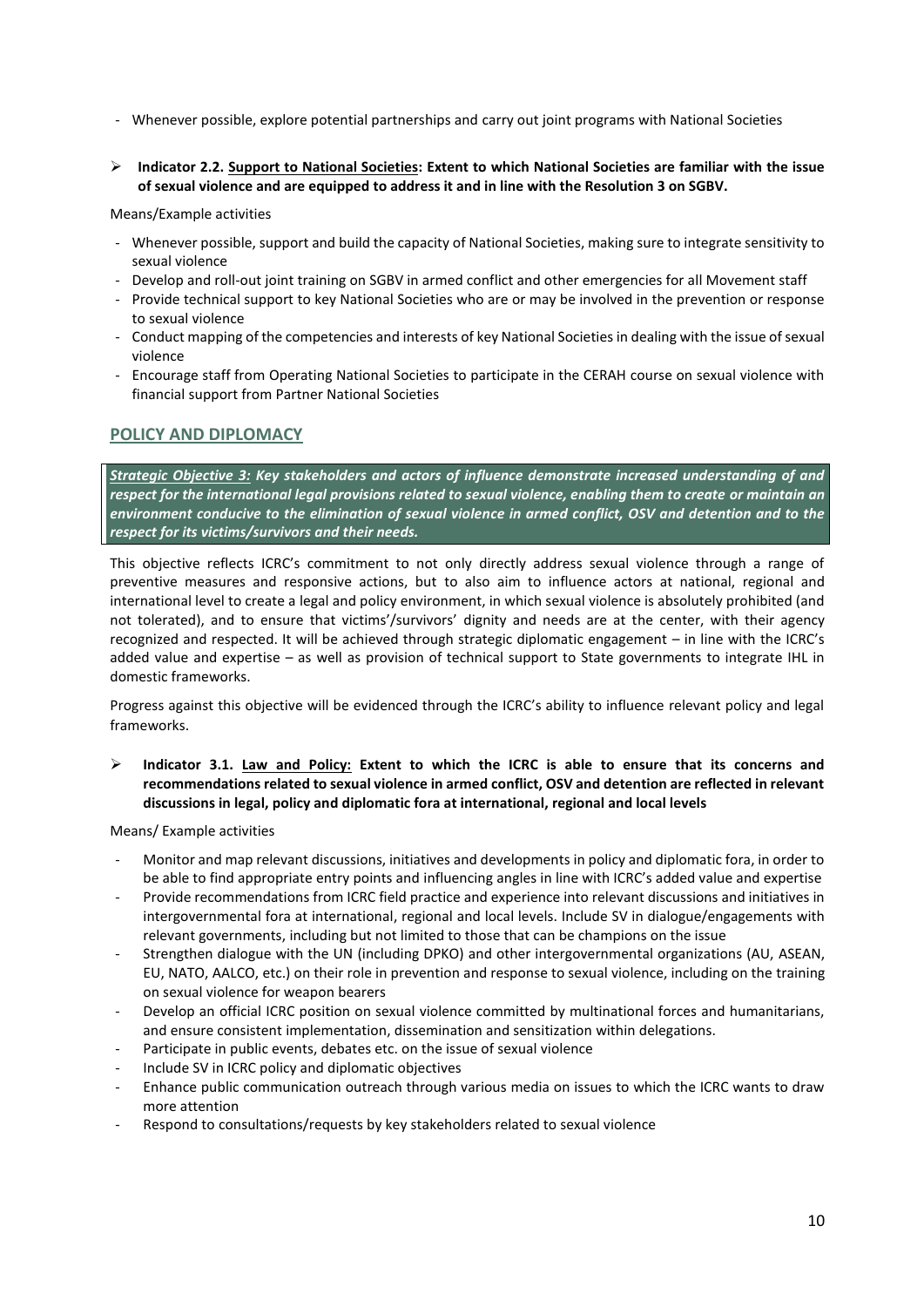- Whenever possible, explore potential partnerships and carry out joint programs with National Societies
- ➢ **Indicator 2.2. Support to National Societies: Extent to which National Societies are familiar with the issue of sexual violence and are equipped to address it and in line with the Resolution 3 on SGBV.**

Means/Example activities

- Whenever possible, support and build the capacity of National Societies, making sure to integrate sensitivity to sexual violence
- Develop and roll-out joint training on SGBV in armed conflict and other emergencies for all Movement staff
- Provide technical support to key National Societies who are or may be involved in the prevention or response to sexual violence
- Conduct mapping of the competencies and interests of key National Societies in dealing with the issue of sexual violence
- Encourage staff from Operating National Societies to participate in the CERAH course on sexual violence with financial support from Partner National Societies

## **POLICY AND DIPLOMACY**

*Strategic Objective 3: Key stakeholders and actors of influence demonstrate increased understanding of and respect for the international legal provisions related to sexual violence, enabling them to create or maintain an environment conducive to the elimination of sexual violence in armed conflict, OSV and detention and to the respect for its victims/survivors and their needs.*

This objective reflects ICRC's commitment to not only directly address sexual violence through a range of preventive measures and responsive actions, but to also aim to influence actors at national, regional and international level to create a legal and policy environment, in which sexual violence is absolutely prohibited (and not tolerated), and to ensure that victims'/survivors' dignity and needs are at the center, with their agency recognized and respected. It will be achieved through strategic diplomatic engagement – in line with the ICRC's added value and expertise – as well as provision of technical support to State governments to integrate IHL in domestic frameworks.

Progress against this objective will be evidenced through the ICRC's ability to influence relevant policy and legal frameworks.

➢ **Indicator 3.1. Law and Policy: Extent to which the ICRC is able to ensure that its concerns and recommendations related to sexual violence in armed conflict, OSV and detention are reflected in relevant discussions in legal, policy and diplomatic fora at international, regional and local levels**

Means/ Example activities

- Monitor and map relevant discussions, initiatives and developments in policy and diplomatic fora, in order to be able to find appropriate entry points and influencing angles in line with ICRC's added value and expertise
- Provide recommendations from ICRC field practice and experience into relevant discussions and initiatives in intergovernmental fora at international, regional and local levels. Include SV in dialogue/engagements with relevant governments, including but not limited to those that can be champions on the issue
- Strengthen dialogue with the UN (including DPKO) and other intergovernmental organizations (AU, ASEAN, EU, NATO, AALCO, etc.) on their role in prevention and response to sexual violence, including on the training on sexual violence for weapon bearers
- Develop an official ICRC position on sexual violence committed by multinational forces and humanitarians, and ensure consistent implementation, dissemination and sensitization within delegations.
- Participate in public events, debates etc. on the issue of sexual violence
- Include SV in ICRC policy and diplomatic objectives
- Enhance public communication outreach through various media on issues to which the ICRC wants to draw more attention
- Respond to consultations/requests by key stakeholders related to sexual violence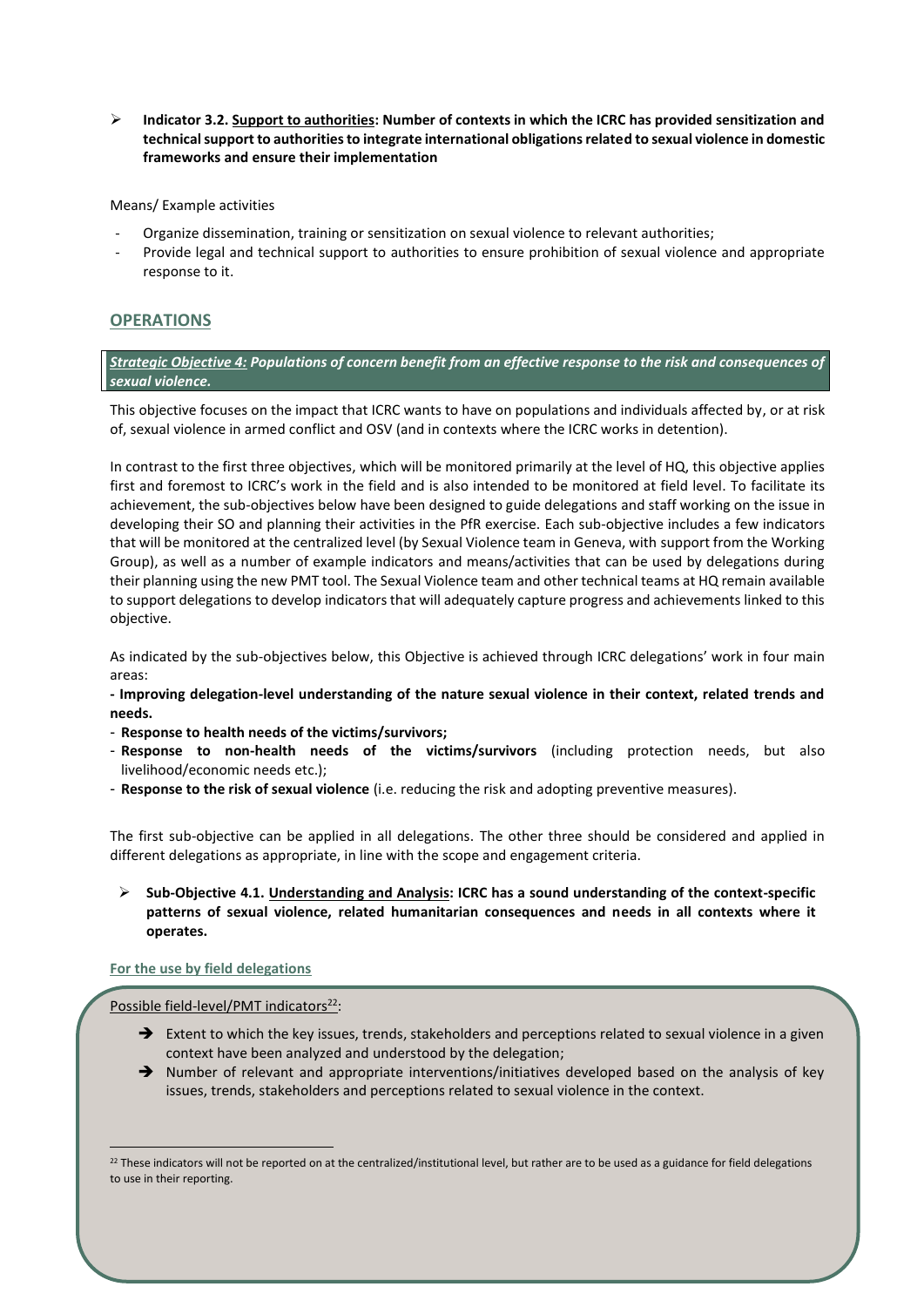➢ **Indicator 3.2. Support to authorities: Number of contexts in which the ICRC has provided sensitization and technical support to authorities to integrate international obligations related to sexual violence in domestic frameworks and ensure their implementation**

Means/ Example activities

- Organize dissemination, training or sensitization on sexual violence to relevant authorities;
- Provide legal and technical support to authorities to ensure prohibition of sexual violence and appropriate response to it.

## **OPERATIONS**

*Strategic Objective 4: Populations of concern benefit from an effective response to the risk and consequences of sexual violence.*

This objective focuses on the impact that ICRC wants to have on populations and individuals affected by, or at risk of, sexual violence in armed conflict and OSV (and in contexts where the ICRC works in detention).

In contrast to the first three objectives, which will be monitored primarily at the level of HQ, this objective applies first and foremost to ICRC's work in the field and is also intended to be monitored at field level. To facilitate its achievement, the sub-objectives below have been designed to guide delegations and staff working on the issue in developing their SO and planning their activities in the PfR exercise. Each sub-objective includes a few indicators that will be monitored at the centralized level (by Sexual Violence team in Geneva, with support from the Working Group), as well as a number of example indicators and means/activities that can be used by delegations during their planning using the new PMT tool. The Sexual Violence team and other technical teams at HQ remain available to support delegations to develop indicators that will adequately capture progress and achievements linked to this objective.

As indicated by the sub-objectives below, this Objective is achieved through ICRC delegations' work in four main areas:

- **- Improving delegation-level understanding of the nature sexual violence in their context, related trends and needs.**
- **Response to health needs of the victims/survivors;**
- **Response to non-health needs of the victims/survivors** (including protection needs, but also livelihood/economic needs etc.);
- **Response to the risk of sexual violence** (i.e. reducing the risk and adopting preventive measures).

The first sub-objective can be applied in all delegations. The other three should be considered and applied in different delegations as appropriate, in line with the scope and engagement criteria.

➢ **Sub-Objective 4.1. Understanding and Analysis: ICRC has a sound understanding of the context-specific patterns of sexual violence, related humanitarian consequences and needs in all contexts where it operates.**

## **For the use by field delegations**

Possible field-level/PMT indicators $^{22}$ :

- ➔ Extent to which the key issues, trends, stakeholders and perceptions related to sexual violence in a given context have been analyzed and understood by the delegation;
- → Number of relevant and appropriate interventions/initiatives developed based on the analysis of key issues, trends, stakeholders and perceptions related to sexual violence in the context.

 $^{22}$  These indicators will not be reported on at the centralized/institutional level, but rather are to be used as a guidance for field delegations to use in their reporting.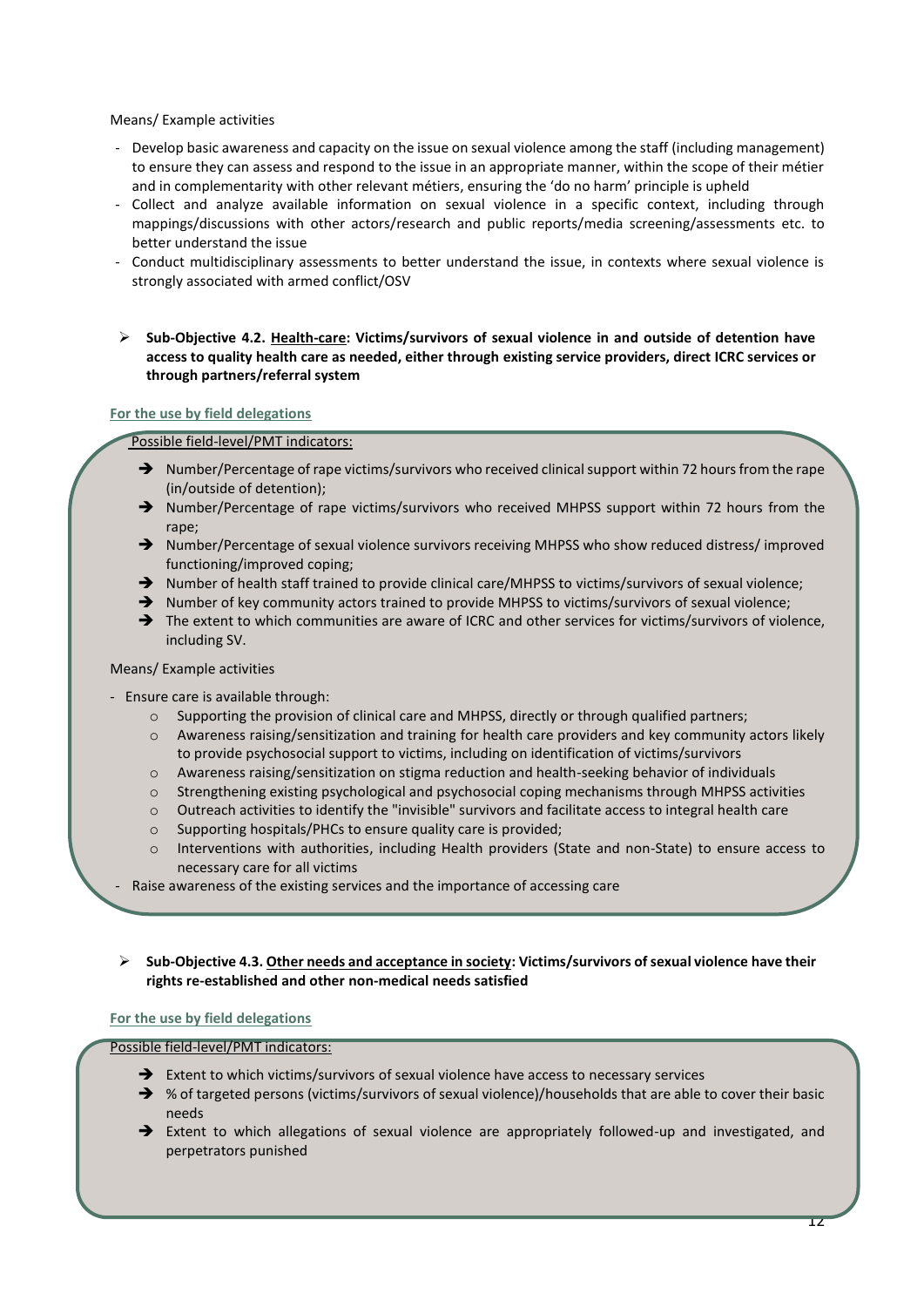#### Means/ Example activities

- Develop basic awareness and capacity on the issue on sexual violence among the staff (including management) to ensure they can assess and respond to the issue in an appropriate manner, within the scope of their métier and in complementarity with other relevant métiers, ensuring the 'do no harm' principle is upheld
- Collect and analyze available information on sexual violence in a specific context, including through mappings/discussions with other actors/research and public reports/media screening/assessments etc. to better understand the issue
- Conduct multidisciplinary assessments to better understand the issue, in contexts where sexual violence is strongly associated with armed conflict/OSV
- ➢ **Sub-Objective 4.2. Health-care: Victims/survivors of sexual violence in and outside of detention have access to quality health care as needed, either through existing service providers, direct ICRC services or through partners/referral system**

## **For the use by field delegations**

Possible field-level/PMT indicators:

- ➔ Number/Percentage of rape victims/survivors who received clinical support within 72 hours from the rape (in/outside of detention);
- → Number/Percentage of rape victims/survivors who received MHPSS support within 72 hours from the rape:
- → Number/Percentage of sexual violence survivors receiving MHPSS who show reduced distress/ improved functioning/improved coping;
- → Number of health staff trained to provide clinical care/MHPSS to victims/survivors of sexual violence;
- → Number of key community actors trained to provide MHPSS to victims/survivors of sexual violence;
- ➔ The extent to which communities are aware of ICRC and other services for victims/survivors of violence, including SV.

#### Means/ Example activities

- Ensure care is available through:
	- $\circ$  Supporting the provision of clinical care and MHPSS, directly or through qualified partners;
	- o Awareness raising/sensitization and training for health care providers and key community actors likely to provide psychosocial support to victims, including on identification of victims/survivors
	- o Awareness raising/sensitization on stigma reduction and health-seeking behavior of individuals
	- $\circ$  Strengthening existing psychological and psychosocial coping mechanisms through MHPSS activities
	- o Outreach activities to identify the "invisible" survivors and facilitate access to integral health care
	- o Supporting hospitals/PHCs to ensure quality care is provided;
	- o Interventions with authorities, including Health providers (State and non-State) to ensure access to necessary care for all victims
	- Raise awareness of the existing services and the importance of accessing care
- ➢ **Sub-Objective 4.3. Other needs and acceptance in society: Victims/survivors of sexual violence have their rights re-established and other non-medical needs satisfied**

## **For the use by field delegations**

Possible field-level/PMT indicators:

- ➔ Extent to which victims/survivors of sexual violence have access to necessary services
- ➔ % of targeted persons (victims/survivors of sexual violence)/households that are able to cover their basic needs
- ➔ Extent to which allegations of sexual violence are appropriately followed-up and investigated, and perpetrators punished